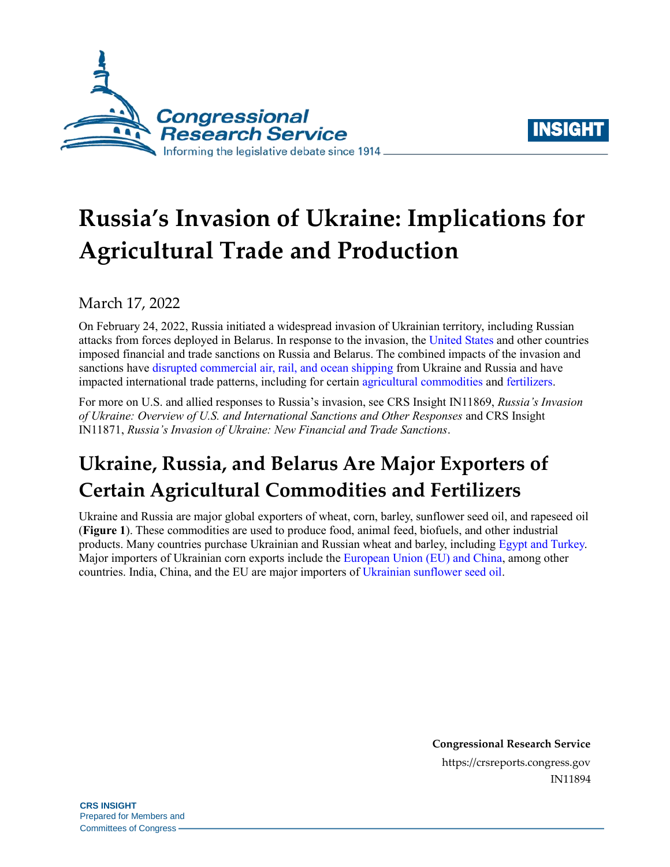



# **Russia's Invasion of Ukraine: Implications for Agricultural Trade and Production**

### March 17, 2022

On February 24, 2022, Russia initiated a widespread invasion of Ukrainian territory, including Russian attacks from forces deployed in Belarus. In response to the invasion, the [United States](https://www.natlawreview.com/article/ukraine-crisis-new-us-sanctions-russia-and-belarus) and other countries imposed financial and trade sanctions on Russia and Belarus. The combined impacts of the invasion and sanctions have [disrupted commercial air, rail, and ocean shipping](https://www.nytimes.com/2022/03/01/business/economy/ukraine-russia-supply-chains.html) from Ukraine and Russia and have impacted international trade patterns, including for certain [agricultural commodities](https://www.washingtonpost.com/business/2022/03/11/ukraine-impact-on-countries-food/) and [fertilizers.](https://www.wsj.com/articles/ukraine-war-hits-worlds-farmers-as-russia-cuts-fertilizer-supplies-hurting-brazil-11646487815)

For more on U.S. and allied responses to Russia's invasion, see CRS Insight IN11869, *[Russia's Invasion](https://crsreports.congress.gov/product/pdf/IN/IN11869)  [of Ukraine: Overview of U.S. and International Sanctions and Other Responses](https://crsreports.congress.gov/product/pdf/IN/IN11869)* and CRS Insight IN11871, *[Russia's Invasion of Ukraine: New Financial and Trade Sanctions](https://crsreports.congress.gov/product/pdf/IN/IN11871)*.

## **Ukraine, Russia, and Belarus Are Major Exporters of Certain Agricultural Commodities and Fertilizers**

Ukraine and Russia are major global exporters of wheat, corn, barley, sunflower seed oil, and rapeseed oil (**[Figure 1](#page-1-0)**). These commodities are used to produce food, animal feed, biofuels, and other industrial products. Many countries purchase Ukrainian and Russian wheat and barley, including [Egypt and](https://apps.fas.usda.gov/psdonline/circulars/grain.pdf) Turkey. Major importers of Ukrainian corn exports include the [European Union \(EU\) and China,](https://apps.fas.usda.gov/psdonline/circulars/grain.pdf) among other countries. India, China, and the EU are major importers of [Ukrainian sunflower seed oil.](https://apps.fas.usda.gov/psdonline/circulars/oilseeds.pdf)

> **Congressional Research Service** https://crsreports.congress.gov IN11894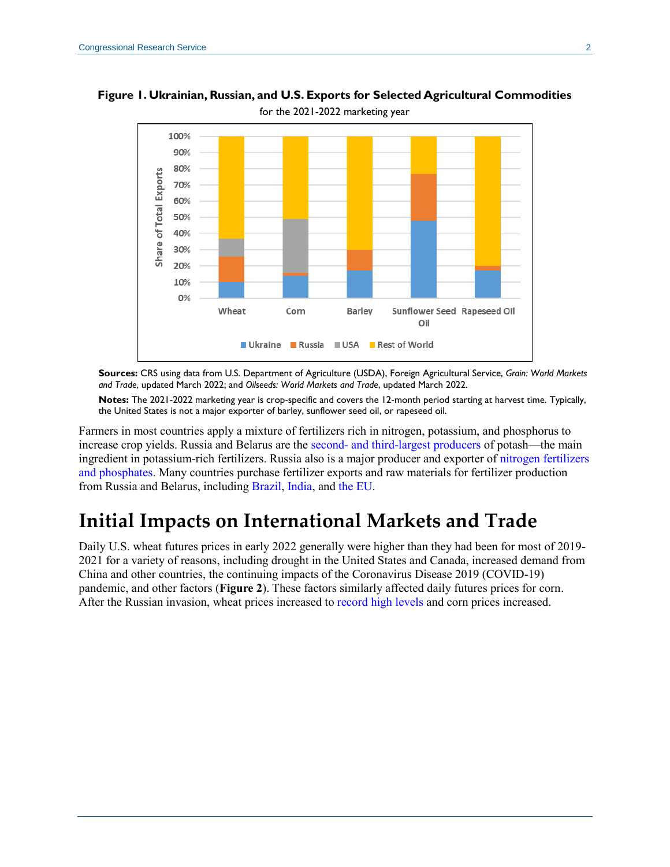

<span id="page-1-0"></span>**Figure 1. Ukrainian, Russian, and U.S. Exports for Selected Agricultural Commodities**

**Sources:** CRS using data from U.S. Department of Agriculture (USDA), Foreign Agricultural Service, *Grain: World Markets and Trade*, updated March 2022; and *Oilseeds: World Markets and Trade*, updated March 2022.

**Notes:** The 2021-2022 marketing year is crop-specific and covers the 12-month period starting at harvest time. Typically, the United States is not a major exporter of barley, sunflower seed oil, or rapeseed oil.

Farmers in most countries apply a mixture of fertilizers rich in nitrogen, potassium, and phosphorus to increase crop yields. Russia and Belarus are the second- [and third-largest producers](https://www.wsj.com/livecoverage/russia-ukraine-latest-news-2022-03-01/card/russian-invasion-threatens-disarray-for-farmers-fertilizer-supplies-TLdX3YKW32ZoFGYYoais) of potash—the main ingredient in potassium-rich fertilizers. Russia also is a major producer and exporter of [nitrogen fertilizers](https://www.tfi.org/content/statement-russia-ukraine-conflict)  [and phosphates.](https://www.tfi.org/content/statement-russia-ukraine-conflict) Many countries purchase fertilizer exports and raw materials for fertilizer production from Russia and Belarus, including [Brazil,](https://www.fas.usda.gov/data/brazil-brazil-agriculture-seeks-remedies-potential-fertilizer-disruptions) [India,](https://www.fas.usda.gov/data/india-russias-invasion-ukraine-impact-fertilizer-supply-and-use-indias-agricultural-sector) and [the EU.](https://www.euractiv.com/section/agriculture-food/news/eu-sanctions-on-belarus-target-key-fertiliser-amid-rising-input-prices/)

### **Initial Impacts on International Markets and Trade**

Daily U.S. wheat futures prices in early 2022 generally were higher than they had been for most of 2019- 2021 for a variety of reasons, including drought in the United States and Canada, increased demand from China and other countries, the continuing impacts of the Coronavirus Disease 2019 (COVID-19) pandemic, and other factors (**[Figure 2](#page-2-0)**). These factors similarly affected daily futures prices for corn. After the Russian invasion, wheat prices increased to [record high levels](https://www.bloomberg.com/news/articles/2022-03-07/wheat-climbs-nearer-to-record-as-ukraine-supply-paralyzed-by-war) and corn prices increased.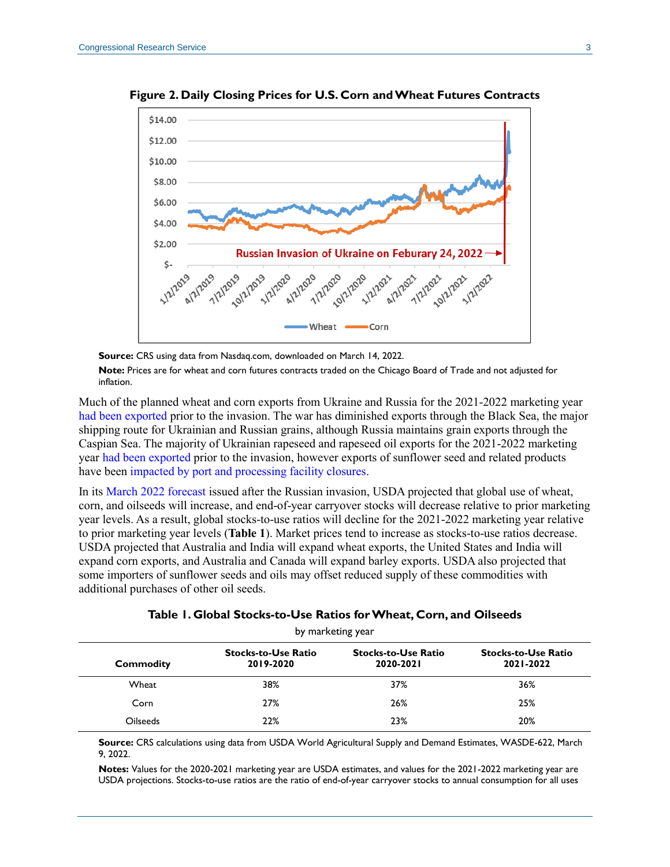

<span id="page-2-0"></span>**Figure 2. Daily Closing Prices for U.S. Corn and Wheat Futures Contracts**

**Source:** CRS using data from Nasdaq.com, downloaded on March 14, 2022. **Note:** Prices are for wheat and corn futures contracts traded on the Chicago Board of Trade and not adjusted for inflation.

Much of the planned wheat and corn exports from Ukraine and Russia for the 2021-2022 marketing year [had been exported](https://apps.fas.usda.gov/psdonline/circulars/grain.pdf) prior to the invasion. The war has diminished exports through the Black Sea, the major shipping route for Ukrainian and Russian grains, although Russia maintains grain exports through the Caspian Sea. The majority of Ukrainian rapeseed and rapeseed oil exports for the 2021-2022 marketing year [had been exported](https://apps.fas.usda.gov/psdonline/circulars/oilseeds.pdf) prior to the invasion, however exports of sunflower seed and related products have been [impacted by port and processing facility closures.](https://apps.fas.usda.gov/psdonline/circulars/oilseeds.pdf)

In its [March 2022 forecast](https://www.usda.gov/oce/commodity/wasde/wasde0322.pdf) issued after the Russian invasion, USDA projected that global use of wheat, corn, and oilseeds will increase, and end-of-year carryover stocks will decrease relative to prior marketing year levels. As a result, global stocks-to-use ratios will decline for the 2021-2022 marketing year relative to prior marketing year levels (**[Table 1](#page-2-1)**). Market prices tend to increase as stocks-to-use ratios decrease. USDA projected that Australia and India will expand wheat exports, the United States and India will expand corn exports, and Australia and Canada will expand barley exports. USDA also projected that some importers of sunflower seeds and oils may offset reduced supply of these commodities with additional purchases of other oil seeds.

<span id="page-2-1"></span>

| $v_1$ man noonly $v_2$                  |                                         |                                         |  |
|-----------------------------------------|-----------------------------------------|-----------------------------------------|--|
| <b>Stocks-to-Use Ratio</b><br>2019-2020 | <b>Stocks-to-Use Ratio</b><br>2020-2021 | <b>Stocks-to-Use Ratio</b><br>2021-2022 |  |
| 38%                                     | 37%                                     | 36%                                     |  |
| 27%                                     | 26%                                     | 25%                                     |  |
| 22%                                     | 23%                                     | 20%                                     |  |
|                                         |                                         |                                         |  |

| Table 1. Global Stocks-to-Use Ratios for Wheat, Corn, and Oilseeds |  |
|--------------------------------------------------------------------|--|
| hy markating yoar                                                  |  |

**Source:** CRS calculations using data from USDA World Agricultural Supply and Demand Estimates, WASDE-622, March 9, 2022.

**Notes:** Values for the 2020-2021 marketing year are USDA estimates, and values for the 2021-2022 marketing year are USDA projections. Stocks-to-use ratios are the ratio of end-of-year carryover stocks to annual consumption for all uses